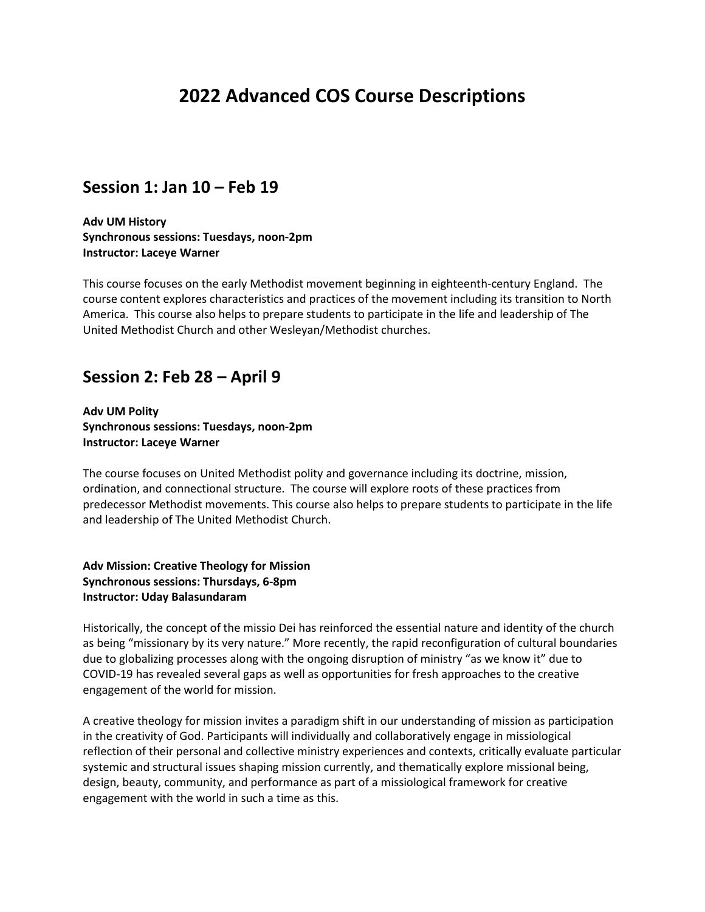# **2022 Advanced COS Course Descriptions**

### **Session 1: Jan 10 – Feb 19**

**Adv UM History Synchronous sessions: Tuesdays, noon-2pm Instructor: Laceye Warner**

This course focuses on the early Methodist movement beginning in eighteenth-century England. The course content explores characteristics and practices of the movement including its transition to North America. This course also helps to prepare students to participate in the life and leadership of The United Methodist Church and other Wesleyan/Methodist churches.

### **Session 2: Feb 28 – April 9**

**Adv UM Polity Synchronous sessions: Tuesdays, noon-2pm Instructor: Laceye Warner**

The course focuses on United Methodist polity and governance including its doctrine, mission, ordination, and connectional structure. The course will explore roots of these practices from predecessor Methodist movements. This course also helps to prepare students to participate in the life and leadership of The United Methodist Church.

**Adv Mission: Creative Theology for Mission Synchronous sessions: Thursdays, 6-8pm Instructor: Uday Balasundaram**

Historically, the concept of the missio Dei has reinforced the essential nature and identity of the church as being "missionary by its very nature." More recently, the rapid reconfiguration of cultural boundaries due to globalizing processes along with the ongoing disruption of ministry "as we know it" due to COVID-19 has revealed several gaps as well as opportunities for fresh approaches to the creative engagement of the world for mission.

A creative theology for mission invites a paradigm shift in our understanding of mission as participation in the creativity of God. Participants will individually and collaboratively engage in missiological reflection of their personal and collective ministry experiences and contexts, critically evaluate particular systemic and structural issues shaping mission currently, and thematically explore missional being, design, beauty, community, and performance as part of a missiological framework for creative engagement with the world in such a time as this.